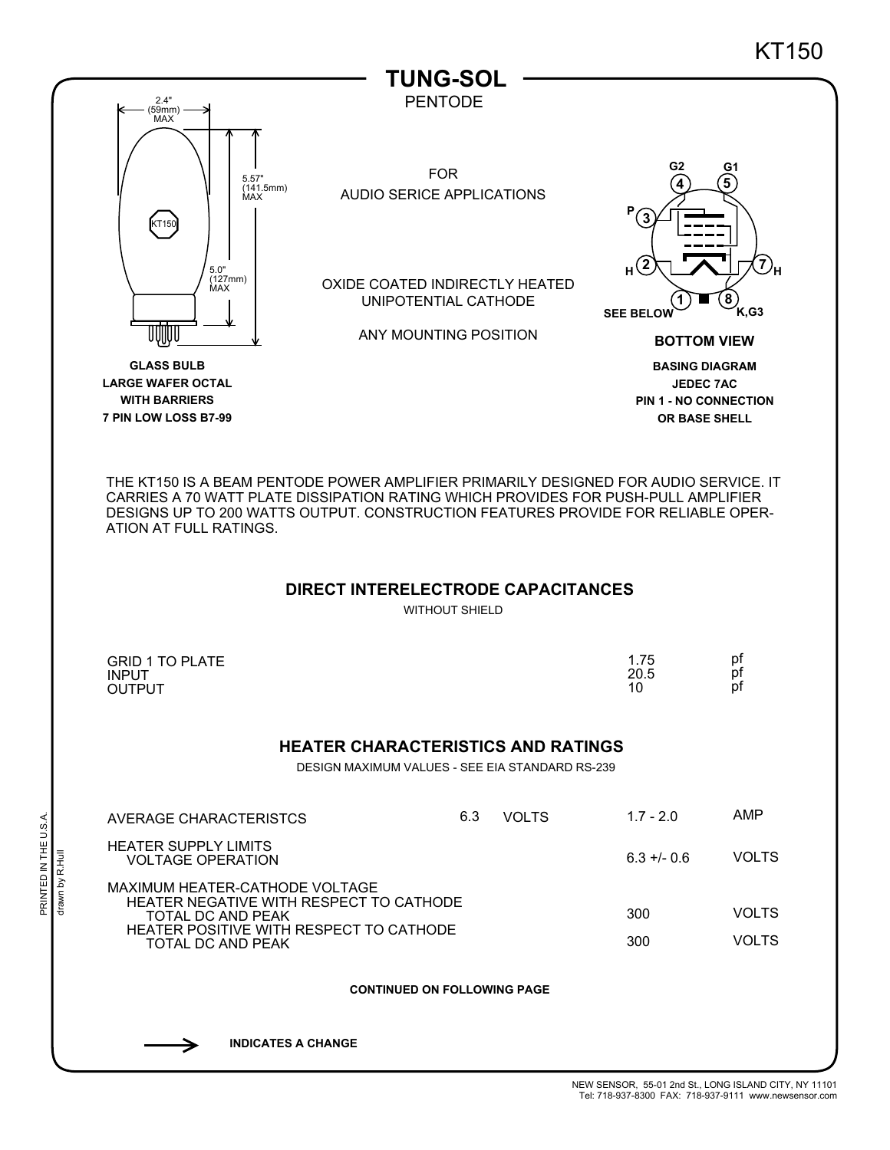

**INDICATES A CHANGE**

PRINTED IN THE U.S.A.

PRINTED IN THE U.S.A.